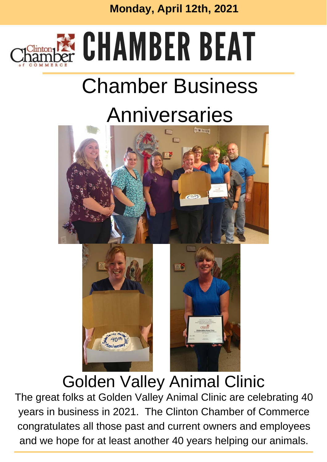

# **ECHAMBER BEAT**

# Chamber Business

# Anniversaries





### Golden Valley Animal Clinic

The great folks at Golden Valley Animal Clinic are celebrating 40 years in business in 2021. The Clinton Chamber of Commerce congratulates all those past and current owners and employees and we hope for at least another 40 years helping our animals.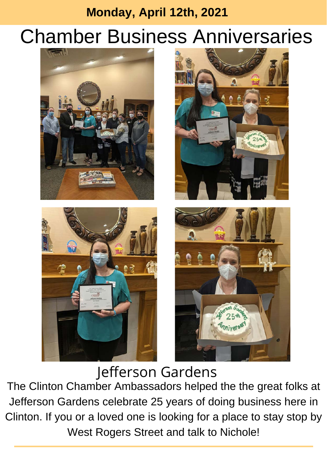## Chamber Business Anniversaries









Jefferson Gardens The Clinton Chamber Ambassadors helped the the great folks at Jefferson Gardens celebrate 25 years of doing business here in Clinton. If you or a loved one is looking for a place to stay stop by West Rogers Street and talk to Nichole!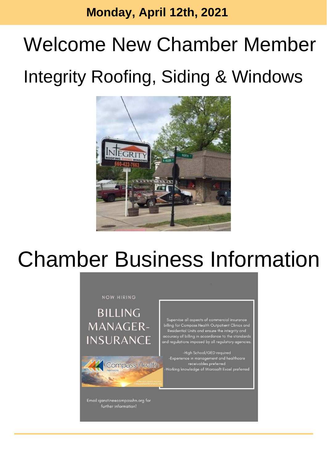# Welcome New Chamber Member Integrity Roofing, Siding & Windows



# Chamber Business Information

#### NOW HIRING

**BILLING MANAGER-INSURANCE** 



Email sjanstine@compasshn.org for further information!

Supervise all aspects of commercial insurance billing for Compass Health Outpatient Clinics and Residential Units and ensure the integrity and accuracy of billing in accordance to the standards<br>and regulations imposed by all regulatory agencies

-High School/GED required -Experience in management and healthcare receivables preferred<br>Working knowledge of Microsoft Excel preferred-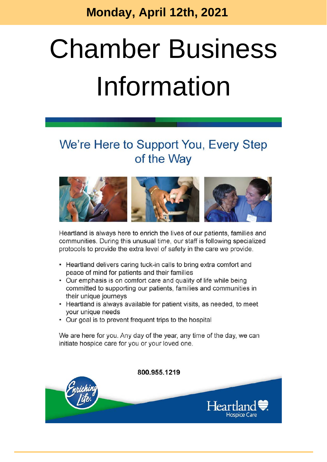# **Chamber Business** Information

#### We're Here to Support You, Every Step of the Way



Heartland is always here to enrich the lives of our patients, families and communities. During this unusual time, our staff is following specialized protocols to provide the extra level of safety in the care we provide.

- Heartland delivers caring tuck-in calls to bring extra comfort and peace of mind for patients and their families
- Our emphasis is on comfort care and quality of life while being committed to supporting our patients, families and communities in their unique journeys
- Heartland is always available for patient visits, as needed, to meet your unique needs
- Our goal is to prevent frequent trips to the hospital

We are here for you. Any day of the year, any time of the day, we can initiate hospice care for you or your loved one.